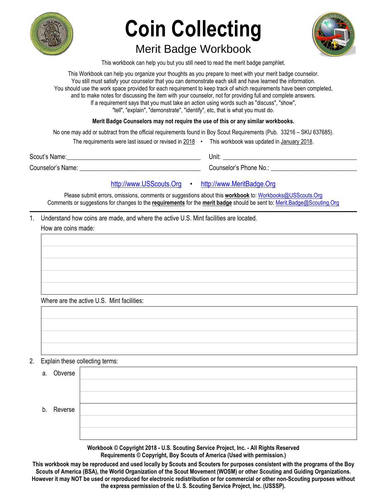

# **Coin Collecting**  Merit Badge Workbook



This workbook can help you but you still need to read the merit badge pamphlet.

This Workbook can help you organize your thoughts as you prepare to meet with your merit badge counselor. You still must satisfy your counselor that you can demonstrate each skill and have learned the information. You should use the work space provided for each requirement to keep track of which requirements have been completed, and to make notes for discussing the item with your counselor, not for providing full and complete answers. If a requirement says that you must take an action using words such as "discuss", "show", "tell", "explain", "demonstrate", "identify", etc, that is what you must do.

### **Merit Badge Counselors may not require the use of this or any similar workbooks.**

No one may add or subtract from the official requirements found in Boy Scout Requirements (Pub. 33216 – SKU 637685).

|                   | The requirements were last issued or revised in 2018 | This workbook was updated in January 2018. |
|-------------------|------------------------------------------------------|--------------------------------------------|
| Scout's Name:     |                                                      | Unit:                                      |
| Counselor's Name: |                                                      | Counselor's Phone No.:                     |

### [http://www.USScouts.Org](http://www.usscouts.org/) • [http://www.MeritBadge.Org](http://www.meritbadge.org/)

Please submit errors, omissions, comments or suggestions about this **workbook** to: [Workbooks@USScouts.Org](mailto:Workbooks@usscouts.org?subject=Merit%20Badge%20Workbooks) Comments or suggestions for changes to the **requirements** for the **merit badge** should be sent to: [Merit.Badge@Scouting.Org](mailto:merit.badge@scouting.org) *\_\_\_\_\_\_\_\_\_\_\_\_\_\_\_\_\_\_\_\_\_\_\_\_\_\_\_\_\_\_\_\_\_\_\_\_\_\_\_\_\_\_\_\_\_\_\_\_\_\_\_\_\_\_\_\_\_\_\_\_\_\_\_\_\_\_\_\_\_\_\_\_\_\_\_\_\_\_\_\_\_\_\_\_\_\_\_\_\_\_\_\_\_\_\_\_\_\_\_\_\_\_\_\_\_\_\_\_\_\_\_\_\_\_\_\_\_\_\_\_\_\_\_\_\_\_\_\_\_\_\_\_\_\_\_\_\_\_\_\_\_\_* 

1. Understand how coins are made, and where the active U.S. Mint facilities are located. How are coins made:

Where are the active U.S. Mint facilities:

2. Explain these collecting terms:

| Obverse |                  |
|---------|------------------|
|         |                  |
|         |                  |
|         |                  |
|         |                  |
|         |                  |
|         | a.<br>b. Reverse |

**Workbook © Copyright 2018 - U.S. Scouting Service Project, Inc. - All Rights Reserved Requirements © Copyright, Boy Scouts of America (Used with permission.)** 

**This workbook may be reproduced and used locally by Scouts and Scouters for purposes consistent with the programs of the Boy Scouts of America (BSA), the World Organization of the Scout Movement (WOSM) or other Scouting and Guiding Organizations. However it may NOT be used or reproduced for electronic redistribution or for commercial or other non-Scouting purposes without the express permission of the U. S. Scouting Service Project, Inc. (USSSP).**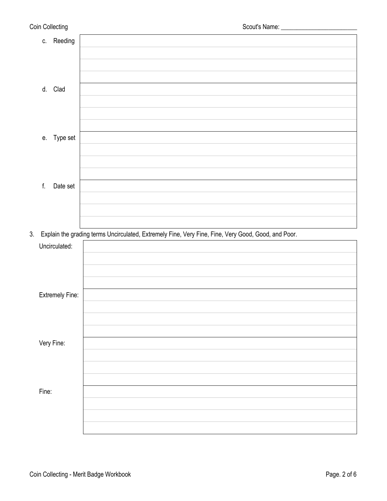| Coin Collecting |                        |                                                                                                     |
|-----------------|------------------------|-----------------------------------------------------------------------------------------------------|
|                 | c. Reeding             |                                                                                                     |
|                 |                        |                                                                                                     |
|                 |                        |                                                                                                     |
|                 |                        |                                                                                                     |
|                 | d. Clad                |                                                                                                     |
|                 |                        |                                                                                                     |
|                 |                        |                                                                                                     |
|                 |                        |                                                                                                     |
| е.              | Type set               |                                                                                                     |
|                 |                        |                                                                                                     |
|                 |                        |                                                                                                     |
|                 |                        |                                                                                                     |
| f.              | Date set               |                                                                                                     |
|                 |                        |                                                                                                     |
|                 |                        |                                                                                                     |
| 3.              |                        | Explain the grading terms Uncirculated, Extremely Fine, Very Fine, Fine, Very Good, Good, and Poor. |
|                 | Uncirculated:          |                                                                                                     |
|                 |                        |                                                                                                     |
|                 |                        |                                                                                                     |
|                 |                        |                                                                                                     |
|                 | <b>Extremely Fine:</b> |                                                                                                     |
|                 |                        |                                                                                                     |
|                 |                        |                                                                                                     |
|                 |                        |                                                                                                     |
|                 | Very Fine:             |                                                                                                     |
|                 |                        |                                                                                                     |
|                 |                        |                                                                                                     |
|                 |                        |                                                                                                     |
| Fine:           |                        |                                                                                                     |
|                 |                        |                                                                                                     |
|                 |                        |                                                                                                     |
|                 |                        |                                                                                                     |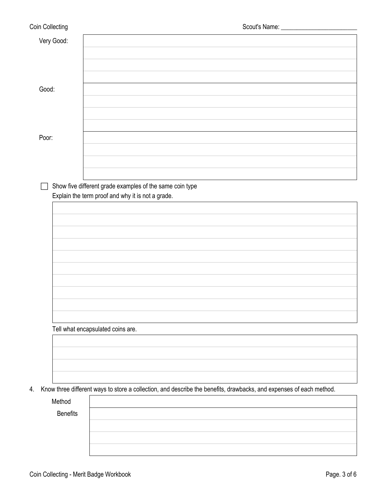| Coin Collecting           | Scout's Name: ________________                                                                                      |
|---------------------------|---------------------------------------------------------------------------------------------------------------------|
| Very Good:                |                                                                                                                     |
| Good:                     |                                                                                                                     |
| Poor:                     |                                                                                                                     |
|                           | Show five different grade examples of the same coin type<br>Explain the term proof and why it is not a grade.       |
|                           |                                                                                                                     |
|                           |                                                                                                                     |
|                           |                                                                                                                     |
|                           | Tell what encapsulated coins are.                                                                                   |
|                           |                                                                                                                     |
| 4.                        | Know three different ways to store a collection, and describe the benefits, drawbacks, and expenses of each method. |
| Method<br><b>Benefits</b> |                                                                                                                     |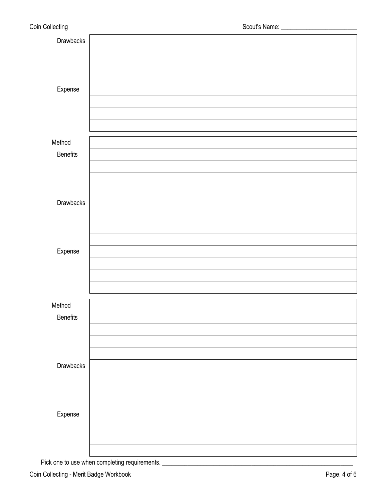| Drawbacks |  |
|-----------|--|
|           |  |
|           |  |
|           |  |
| Expense   |  |
|           |  |
|           |  |
|           |  |
|           |  |
| Method    |  |
| Benefits  |  |
|           |  |
|           |  |
|           |  |
| Drawbacks |  |
|           |  |
|           |  |
|           |  |
| Expense   |  |
|           |  |
|           |  |
|           |  |
|           |  |
| Method    |  |
| Benefits  |  |
|           |  |
|           |  |
|           |  |
| Drawbacks |  |
|           |  |
|           |  |
|           |  |
| Expense   |  |
|           |  |
|           |  |
|           |  |
|           |  |

Pick one to use when completing requirements. \_\_\_\_\_\_\_\_\_\_\_\_\_\_\_\_\_\_\_\_\_\_\_\_\_\_\_\_\_\_\_\_\_\_\_\_\_\_\_\_\_\_\_\_\_\_\_\_\_\_\_\_\_\_\_\_\_\_\_\_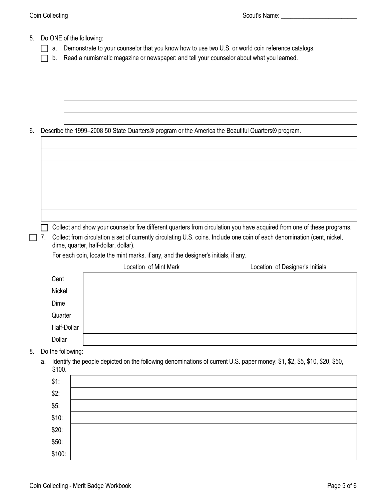- 5. Do ONE of the following:
	- a. Demonstrate to your counselor that you know how to use two U.S. or world coin reference catalogs.

 $\Box$  b. Read a numismatic magazine or newspaper: and tell your counselor about what you learned.

6. Describe the 1999–2008 50 State Quarters® program or the America the Beautiful Quarters® program.

 $\Box$  Collect and show your counselor five different quarters from circulation you have acquired from one of these programs.

7. Collect from circulation a set of currently circulating U.S. coins. Include one coin of each denomination (cent, nickel, dime, quarter, half-dollar, dollar).

For each coin, locate the mint marks, if any, and the designer's initials, if any.

|             | Location of Mint Mark | Location of Designer's Initials |
|-------------|-----------------------|---------------------------------|
| Cent        |                       |                                 |
| Nickel      |                       |                                 |
| Dime        |                       |                                 |
| Quarter     |                       |                                 |
| Half-Dollar |                       |                                 |
| Dollar      |                       |                                 |

- 8. Do the following:
	- a. Identify the people depicted on the following denominations of current U.S. paper money: \$1, \$2, \$5, \$10, \$20, \$50, \$100.